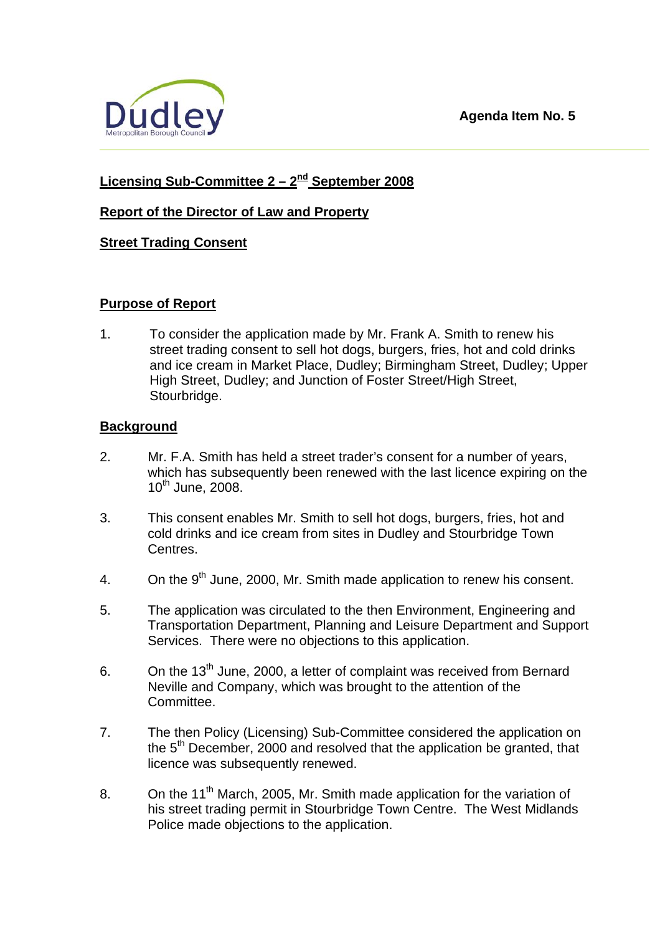

# **Licensing Sub-Committee 2 – 2nd September 2008**

# **Report of the Director of Law and Property**

# **Street Trading Consent**

### **Purpose of Report**

1. To consider the application made by Mr. Frank A. Smith to renew his street trading consent to sell hot dogs, burgers, fries, hot and cold drinks and ice cream in Market Place, Dudley; Birmingham Street, Dudley; Upper High Street, Dudley; and Junction of Foster Street/High Street, Stourbridge.

### **Background**

- 2. Mr. F.A. Smith has held a street trader's consent for a number of years, which has subsequently been renewed with the last licence expiring on the  $10^{th}$  June, 2008.
- 3. This consent enables Mr. Smith to sell hot dogs, burgers, fries, hot and cold drinks and ice cream from sites in Dudley and Stourbridge Town Centres.
- 4. On the 9<sup>th</sup> June, 2000, Mr. Smith made application to renew his consent.
- 5. The application was circulated to the then Environment, Engineering and Transportation Department, Planning and Leisure Department and Support Services. There were no objections to this application.
- 6. On the  $13<sup>th</sup>$  June, 2000, a letter of complaint was received from Bernard Neville and Company, which was brought to the attention of the Committee.
- 7. The then Policy (Licensing) Sub-Committee considered the application on the  $5<sup>th</sup>$  December, 2000 and resolved that the application be granted, that licence was subsequently renewed.
- 8. On the 11<sup>th</sup> March, 2005, Mr. Smith made application for the variation of his street trading permit in Stourbridge Town Centre. The West Midlands Police made objections to the application.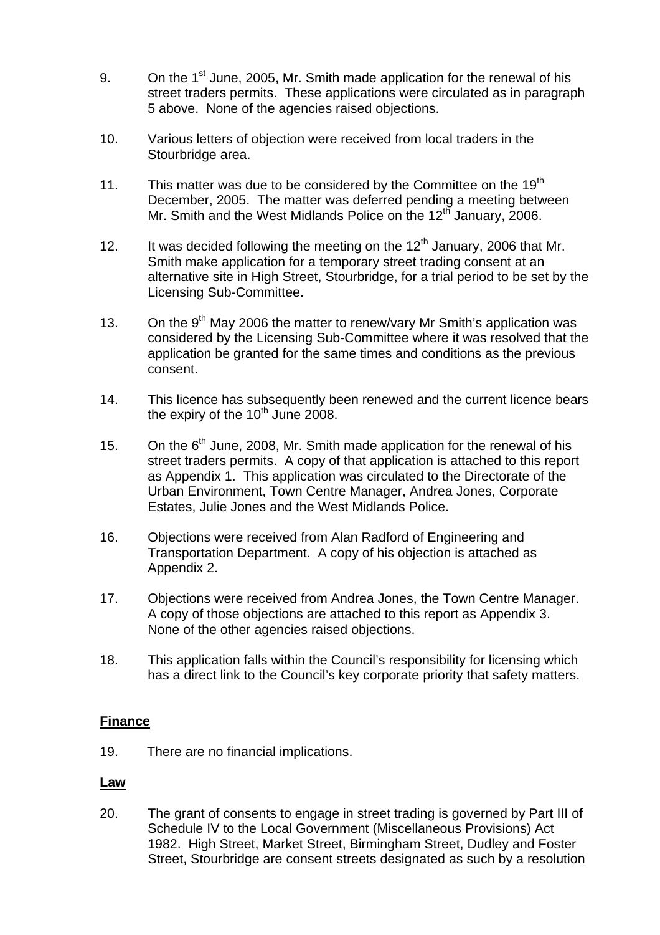- 9. On the  $1<sup>st</sup>$  June, 2005, Mr. Smith made application for the renewal of his street traders permits. These applications were circulated as in paragraph 5 above. None of the agencies raised objections.
- 10. Various letters of objection were received from local traders in the Stourbridge area.
- 11. This matter was due to be considered by the Committee on the  $19<sup>th</sup>$ December, 2005. The matter was deferred pending a meeting between Mr. Smith and the West Midlands Police on the 12<sup>th</sup> January, 2006.
- 12. It was decided following the meeting on the  $12<sup>th</sup>$  January, 2006 that Mr. Smith make application for a temporary street trading consent at an alternative site in High Street, Stourbridge, for a trial period to be set by the Licensing Sub-Committee.
- 13. On the  $9<sup>th</sup>$  May 2006 the matter to renew/vary Mr Smith's application was considered by the Licensing Sub-Committee where it was resolved that the application be granted for the same times and conditions as the previous consent.
- 14. This licence has subsequently been renewed and the current licence bears the expiry of the  $10<sup>th</sup>$  June 2008.
- 15. On the  $6<sup>th</sup>$  June, 2008, Mr. Smith made application for the renewal of his street traders permits. A copy of that application is attached to this report as Appendix 1. This application was circulated to the Directorate of the Urban Environment, Town Centre Manager, Andrea Jones, Corporate Estates, Julie Jones and the West Midlands Police.
- 16. Objections were received from Alan Radford of Engineering and Transportation Department. A copy of his objection is attached as Appendix 2.
- 17. Objections were received from Andrea Jones, the Town Centre Manager. A copy of those objections are attached to this report as Appendix 3. None of the other agencies raised objections.
- 18. This application falls within the Council's responsibility for licensing which has a direct link to the Council's key corporate priority that safety matters.

### **Finance**

19. There are no financial implications.

### **Law**

20. The grant of consents to engage in street trading is governed by Part III of Schedule IV to the Local Government (Miscellaneous Provisions) Act 1982. High Street, Market Street, Birmingham Street, Dudley and Foster Street, Stourbridge are consent streets designated as such by a resolution